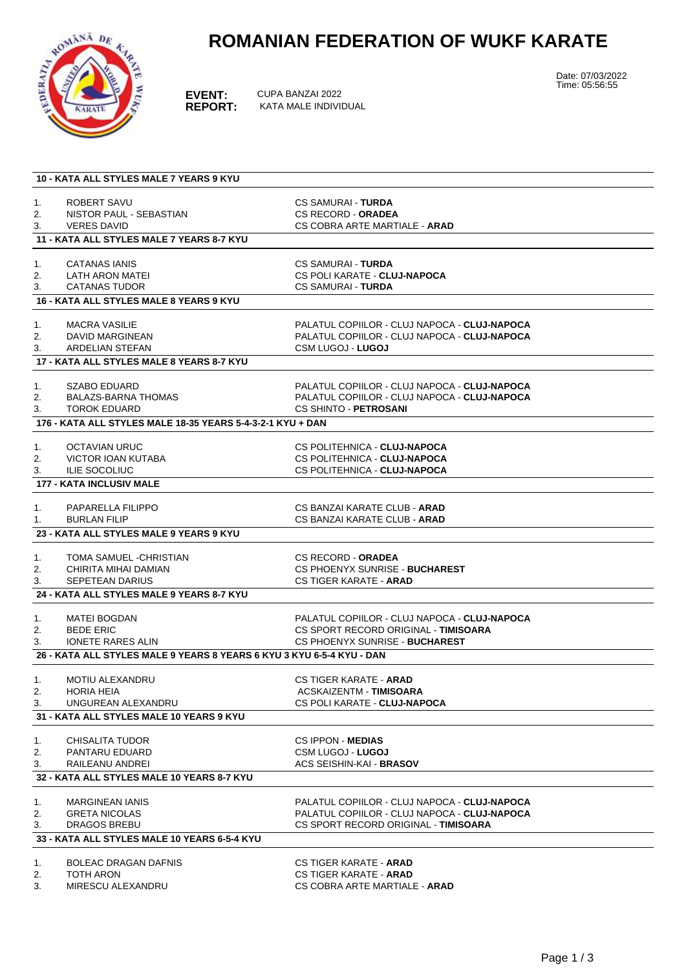## **ROMANIAN FEDERATION OF WUKF KARATE**



**EVENT:** CUPA BANZAI 2022<br> **REPORT:** KATA MALE INDIVII **REPORT:** KATA MALE INDIVIDUAL Date: 07/03/2022 Time: 05:56:55

| <b>10 - KATA ALL STYLES MALE 7 YEARS 9 KYU</b> |                                                                       |                                                                                              |  |  |  |  |
|------------------------------------------------|-----------------------------------------------------------------------|----------------------------------------------------------------------------------------------|--|--|--|--|
|                                                |                                                                       |                                                                                              |  |  |  |  |
| 1.                                             | ROBERT SAVU                                                           | <b>CS SAMURAI - TURDA</b>                                                                    |  |  |  |  |
| 2.                                             | NISTOR PAUL - SEBASTIAN                                               | <b>CS RECORD - ORADEA</b>                                                                    |  |  |  |  |
| 3.                                             | <b>VERES DAVID</b>                                                    | CS COBRA ARTE MARTIALE - ARAD                                                                |  |  |  |  |
|                                                | 11 - KATA ALL STYLES MALE 7 YEARS 8-7 KYU                             |                                                                                              |  |  |  |  |
|                                                |                                                                       |                                                                                              |  |  |  |  |
| 1.                                             | CATANAS IANIS                                                         | <b>CS SAMURAI - TURDA</b>                                                                    |  |  |  |  |
| 2.                                             | <b>LATH ARON MATEI</b>                                                | CS POLI KARATE - CLUJ-NAPOCA<br><b>CS SAMURAI - TURDA</b>                                    |  |  |  |  |
| 3.                                             | <b>CATANAS TUDOR</b>                                                  |                                                                                              |  |  |  |  |
|                                                | 16 - KATA ALL STYLES MALE 8 YEARS 9 KYU                               |                                                                                              |  |  |  |  |
|                                                | <b>MACRA VASILIE</b>                                                  | PALATUL COPIILOR - CLUJ NAPOCA - CLUJ-NAPOCA                                                 |  |  |  |  |
| 1.                                             |                                                                       |                                                                                              |  |  |  |  |
| 2.                                             | DAVID MARGINEAN                                                       | PALATUL COPIILOR - CLUJ NAPOCA - CLUJ-NAPOCA                                                 |  |  |  |  |
| 3.                                             | ARDELIAN STEFAN                                                       | <b>CSM LUGOJ - LUGOJ</b>                                                                     |  |  |  |  |
|                                                | 17 - KATA ALL STYLES MALE 8 YEARS 8-7 KYU                             |                                                                                              |  |  |  |  |
|                                                |                                                                       |                                                                                              |  |  |  |  |
| 1.                                             | <b>SZABO EDUARD</b><br><b>BALAZS-BARNA THOMAS</b>                     | PALATUL COPIILOR - CLUJ NAPOCA - CLUJ-NAPOCA<br>PALATUL COPIILOR - CLUJ NAPOCA - CLUJ-NAPOCA |  |  |  |  |
| 2.                                             |                                                                       |                                                                                              |  |  |  |  |
| 3.                                             | <b>TOROK EDUARD</b>                                                   | <b>CS SHINTO - PETROSANI</b>                                                                 |  |  |  |  |
|                                                | 176 - KATA ALL STYLES MALE 18-35 YEARS 5-4-3-2-1 KYU + DAN            |                                                                                              |  |  |  |  |
| 1.                                             | OCTAVIAN URUC                                                         | CS POLITEHNICA - CLUJ-NAPOCA                                                                 |  |  |  |  |
|                                                | <b>VICTOR IOAN KUTABA</b>                                             | CS POLITEHNICA - CLUJ-NAPOCA                                                                 |  |  |  |  |
| 2.                                             |                                                                       | CS POLITEHNICA - CLUJ-NAPOCA                                                                 |  |  |  |  |
| 3.                                             | <b>ILIE SOCOLIUC</b>                                                  |                                                                                              |  |  |  |  |
|                                                | <b>177 - KATA INCLUSIV MALE</b>                                       |                                                                                              |  |  |  |  |
| 1.                                             | PAPARELLA FILIPPO                                                     | CS BANZAI KARATE CLUB - ARAD                                                                 |  |  |  |  |
|                                                | <b>BURLAN FILIP</b>                                                   | CS BANZAI KARATE CLUB - <b>ARAD</b>                                                          |  |  |  |  |
| 1.                                             |                                                                       |                                                                                              |  |  |  |  |
|                                                | 23 - KATA ALL STYLES MALE 9 YEARS 9 KYU                               |                                                                                              |  |  |  |  |
| 1.                                             | TOMA SAMUEL -CHRISTIAN                                                | <b>CS RECORD - ORADEA</b>                                                                    |  |  |  |  |
|                                                | CHIRITA MIHAI DAMIAN                                                  | CS PHOENYX SUNRISE - BUCHAREST                                                               |  |  |  |  |
| 2.<br>3.                                       | SEPETEAN DARIUS                                                       | <b>CS TIGER KARATE - ARAD</b>                                                                |  |  |  |  |
|                                                |                                                                       |                                                                                              |  |  |  |  |
|                                                | 24 - KATA ALL STYLES MALE 9 YEARS 8-7 KYU                             |                                                                                              |  |  |  |  |
| 1.                                             | <b>MATEI BOGDAN</b>                                                   | PALATUL COPIILOR - CLUJ NAPOCA - CLUJ-NAPOCA                                                 |  |  |  |  |
| 2.                                             | <b>BEDE ERIC</b>                                                      | CS SPORT RECORD ORIGINAL - TIMISOARA                                                         |  |  |  |  |
| 3.                                             | <b>IONETE RARES ALIN</b>                                              | CS PHOENYX SUNRISE - BUCHAREST                                                               |  |  |  |  |
|                                                | 26 - KATA ALL STYLES MALE 9 YEARS 8 YEARS 6 KYU 3 KYU 6-5-4 KYU - DAN |                                                                                              |  |  |  |  |
|                                                |                                                                       |                                                                                              |  |  |  |  |
| 1.                                             | <b>MOTIU ALEXANDRU</b>                                                | <b>CS TIGER KARATE - ARAD</b>                                                                |  |  |  |  |
| 2.                                             | <b>HORIA HEIA</b>                                                     | <b>ACSKAIZENTM - TIMISOARA</b>                                                               |  |  |  |  |
| 3.                                             | UNGUREAN ALEXANDRU                                                    | CS POLI KARATE - CLUJ-NAPOCA                                                                 |  |  |  |  |
|                                                | 31 - KATA ALL STYLES MALE 10 YEARS 9 KYU                              |                                                                                              |  |  |  |  |
|                                                |                                                                       |                                                                                              |  |  |  |  |
| 1.                                             | CHISALITA TUDOR                                                       | <b>CS IPPON - MEDIAS</b>                                                                     |  |  |  |  |
| 2.                                             | PANTARU EDUARD                                                        | <b>CSM LUGOJ - LUGOJ</b>                                                                     |  |  |  |  |
| 3.                                             | RAILEANU ANDREI                                                       | ACS SEISHIN-KAI - BRASOV                                                                     |  |  |  |  |
|                                                | 32 - KATA ALL STYLES MALE 10 YEARS 8-7 KYU                            |                                                                                              |  |  |  |  |
|                                                |                                                                       |                                                                                              |  |  |  |  |
| 1.                                             | <b>MARGINEAN IANIS</b>                                                | PALATUL COPIILOR - CLUJ NAPOCA - CLUJ-NAPOCA                                                 |  |  |  |  |
| 2.                                             | <b>GRETA NICOLAS</b>                                                  | PALATUL COPIILOR - CLUJ NAPOCA - CLUJ-NAPOCA                                                 |  |  |  |  |
| 3.                                             | DRAGOS BREBU                                                          | CS SPORT RECORD ORIGINAL - TIMISOARA                                                         |  |  |  |  |
|                                                | 33 - KATA ALL STYLES MALE 10 YEARS 6-5-4 KYU                          |                                                                                              |  |  |  |  |
|                                                |                                                                       |                                                                                              |  |  |  |  |
| 1.                                             | <b>BOLEAC DRAGAN DAFNIS</b>                                           | <b>CS TIGER KARATE - ARAD</b>                                                                |  |  |  |  |
| 2.                                             | TOTH ARON                                                             | <b>CS TIGER KARATE - ARAD</b>                                                                |  |  |  |  |
| 3.                                             | MIRESCU ALEXANDRU                                                     | CS COBRA ARTE MARTIALE - <b>ARAD</b>                                                         |  |  |  |  |
|                                                |                                                                       |                                                                                              |  |  |  |  |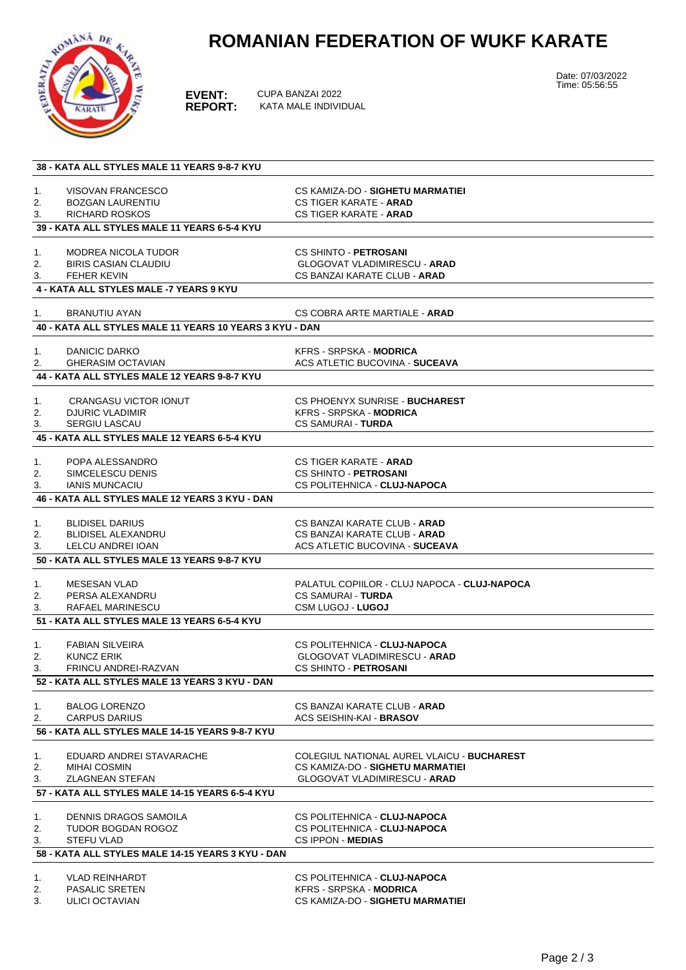

## **ROMANIAN FEDERATION OF WUKF KARATE**

**EVENT:** CUPA BANZAI 2022<br>**REPORT:** KATA MALE INDIVII **REPORT:** KATA MALE INDIVIDUAL Date: 07/03/2022 Time: 05:56:55

|    | 38 - KATA ALL STYLES MALE 11 YEARS 9-8-7 KYU            |                                              |  |  |  |
|----|---------------------------------------------------------|----------------------------------------------|--|--|--|
|    |                                                         |                                              |  |  |  |
| 1. | <b>VISOVAN FRANCESCO</b>                                | CS KAMIZA-DO - SIGHETU MARMATIEI             |  |  |  |
| 2. | <b>BOZGAN LAURENTIU</b>                                 | <b>CS TIGER KARATE - ARAD</b>                |  |  |  |
| 3. | RICHARD ROSKOS                                          | <b>CS TIGER KARATE - ARAD</b>                |  |  |  |
|    | 39 - KATA ALL STYLES MALE 11 YEARS 6-5-4 KYU            |                                              |  |  |  |
|    |                                                         |                                              |  |  |  |
| 1. | <b>MODREA NICOLA TUDOR</b>                              | <b>CS SHINTO - PETROSANI</b>                 |  |  |  |
| 2. | <b>BIRIS CASIAN CLAUDIU</b>                             | <b>GLOGOVAT VLADIMIRESCU - ARAD</b>          |  |  |  |
| 3. | FEHER KEVIN                                             | CS BANZAI KARATE CLUB - ARAD                 |  |  |  |
|    | <b>4 - KATA ALL STYLES MALE -7 YEARS 9 KYU</b>          |                                              |  |  |  |
| 1. | <b>BRANUTIU AYAN</b>                                    | CS COBRA ARTE MARTIALE - <b>ARAD</b>         |  |  |  |
|    | 40 - KATA ALL STYLES MALE 11 YEARS 10 YEARS 3 KYU - DAN |                                              |  |  |  |
|    |                                                         |                                              |  |  |  |
| 1. | DANICIC DARKO                                           | <b>KFRS - SRPSKA - MODRICA</b>               |  |  |  |
| 2. | <b>GHERASIM OCTAVIAN</b>                                | <b>ACS ATLETIC BUCOVINA - SUCEAVA</b>        |  |  |  |
|    | 44 - KATA ALL STYLES MALE 12 YEARS 9-8-7 KYU            |                                              |  |  |  |
|    |                                                         |                                              |  |  |  |
| 1. | <b>CRANGASU VICTOR IONUT</b>                            | CS PHOENYX SUNRISE - BUCHAREST               |  |  |  |
| 2. | <b>DJURIC VLADIMIR</b>                                  | KFRS - SRPSKA - MODRICA                      |  |  |  |
| 3. | <b>SERGIU LASCAU</b>                                    | <b>CS SAMURAI - TURDA</b>                    |  |  |  |
|    | 45 - KATA ALL STYLES MALE 12 YEARS 6-5-4 KYU            |                                              |  |  |  |
|    |                                                         |                                              |  |  |  |
| 1. | POPA ALESSANDRO                                         | <b>CS TIGER KARATE - ARAD</b>                |  |  |  |
| 2. | SIMCELESCU DENIS                                        | CS SHINTO - PETROSANI                        |  |  |  |
| 3. | <b>IANIS MUNCACIU</b>                                   | CS POLITEHNICA - CLUJ-NAPOCA                 |  |  |  |
|    |                                                         |                                              |  |  |  |
|    | 46 - KATA ALL STYLES MALE 12 YEARS 3 KYU - DAN          |                                              |  |  |  |
| 1. | <b>BLIDISEL DARIUS</b>                                  | CS BANZAI KARATE CLUB - <b>ARAD</b>          |  |  |  |
| 2. | <b>BLIDISEL ALEXANDRU</b>                               | CS BANZAI KARATE CLUB - <b>ARAD</b>          |  |  |  |
| 3. | LELCU ANDREI IOAN                                       | <b>ACS ATLETIC BUCOVINA - SUCEAVA</b>        |  |  |  |
|    | 50 - KATA ALL STYLES MALE 13 YEARS 9-8-7 KYU            |                                              |  |  |  |
|    |                                                         |                                              |  |  |  |
| 1. | <b>MESESAN VLAD</b>                                     | PALATUL COPIILOR - CLUJ NAPOCA - CLUJ-NAPOCA |  |  |  |
| 2. | PERSA ALEXANDRU                                         | <b>CS SAMURAI - TURDA</b>                    |  |  |  |
| 3. | RAFAEL MARINESCU                                        | <b>CSM LUGOJ - LUGOJ</b>                     |  |  |  |
|    | 51 - KATA ALL STYLES MALE 13 YEARS 6-5-4 KYU            |                                              |  |  |  |
|    |                                                         |                                              |  |  |  |
| 1. | <b>FABIAN SILVEIRA</b>                                  | CS POLITEHNICA - CLUJ-NAPOCA                 |  |  |  |
| 2. | <b>KUNCZ ERIK</b>                                       | <b>GLOGOVAT VLADIMIRESCU - ARAD</b>          |  |  |  |
| 3. | <b>FRINCU ANDREI-RAZVAN</b>                             | <b>CS SHINTO - PETROSANI</b>                 |  |  |  |
|    | 52 - KATA ALL STYLES MALE 13 YEARS 3 KYU - DAN          |                                              |  |  |  |
|    |                                                         |                                              |  |  |  |
| 1. | <b>BALOG LORENZO</b>                                    | CS BANZAI KARATE CLUB - <b>ARAD</b>          |  |  |  |
| 2. | <b>CARPUS DARIUS</b>                                    | <b>ACS SEISHIN-KAI - BRASOV</b>              |  |  |  |
|    | 56 - KATA ALL STYLES MALE 14-15 YEARS 9-8-7 KYU         |                                              |  |  |  |
|    |                                                         |                                              |  |  |  |
| 1. | EDUARD ANDREI STAVARACHE                                | COLEGIUL NATIONAL AUREL VLAICU - BUCHAREST   |  |  |  |
| 2. | <b>MIHAI COSMIN</b>                                     | CS KAMIZA-DO - SIGHETU MARMATIEI             |  |  |  |
| 3. | <b>ZLAGNEAN STEFAN</b>                                  | <b>GLOGOVAT VLADIMIRESCU - ARAD</b>          |  |  |  |
|    | 57 - KATA ALL STYLES MALE 14-15 YEARS 6-5-4 KYU         |                                              |  |  |  |
|    |                                                         |                                              |  |  |  |
| 1. | <b>DENNIS DRAGOS SAMOILA</b>                            | CS POLITEHNICA - CLUJ-NAPOCA                 |  |  |  |
| 2. | TUDOR BOGDAN ROGOZ                                      | CS POLITEHNICA - CLUJ-NAPOCA                 |  |  |  |
| 3. | STEFU VLAD                                              | <b>CS IPPON - MEDIAS</b>                     |  |  |  |
|    | 58 - KATA ALL STYLES MALE 14-15 YEARS 3 KYU - DAN       |                                              |  |  |  |
|    |                                                         |                                              |  |  |  |
| 1. | <b>VLAD REINHARDT</b>                                   | CS POLITEHNICA - CLUJ-NAPOCA                 |  |  |  |

- 
-